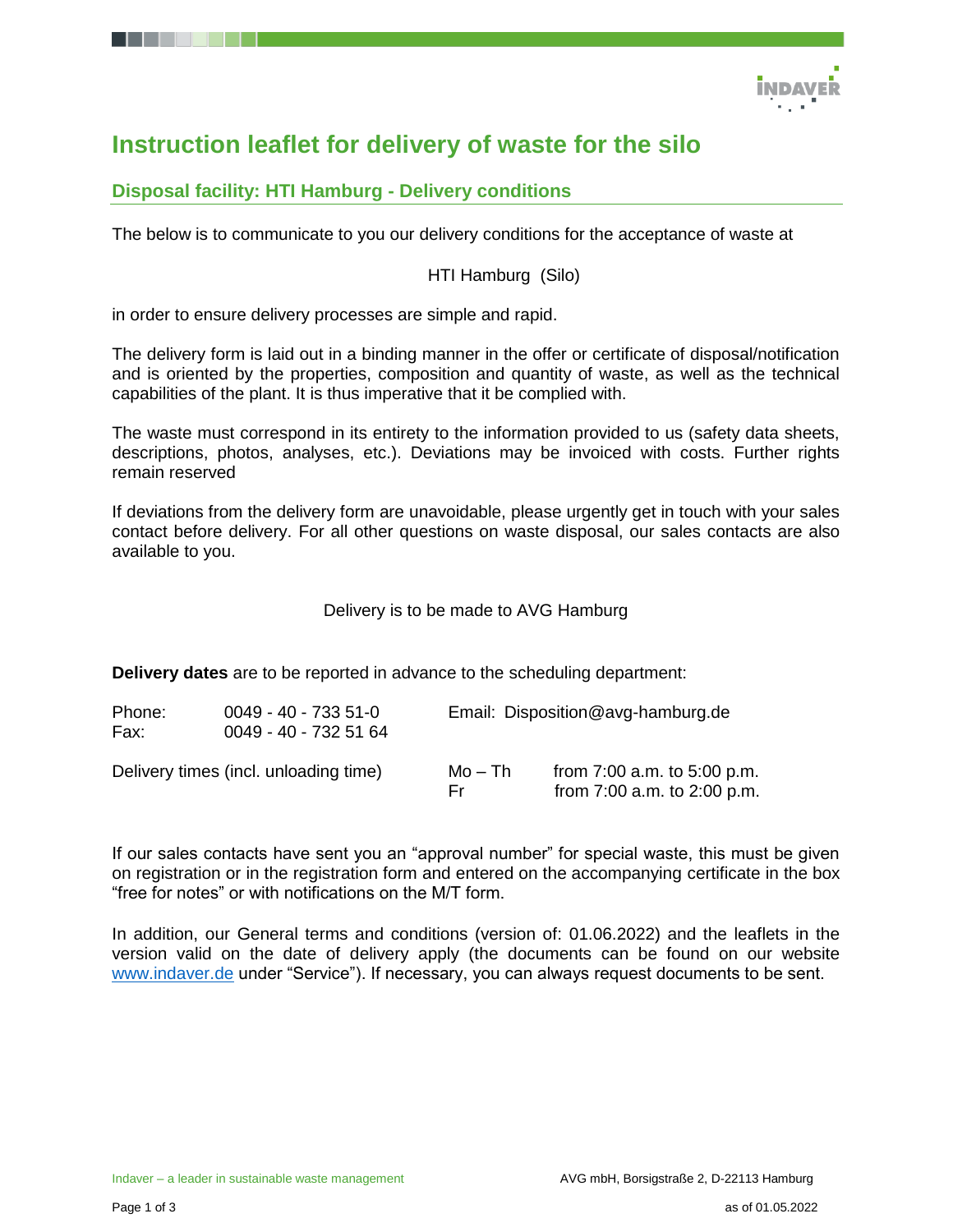

# **Instruction leaflet for delivery of waste for the silo**

## **Disposal facility: HTI Hamburg - Delivery conditions**

The below is to communicate to you our delivery conditions for the acceptance of waste at

### HTI Hamburg (Silo)

in order to ensure delivery processes are simple and rapid.

The delivery form is laid out in a binding manner in the offer or certificate of disposal/notification and is oriented by the properties, composition and quantity of waste, as well as the technical capabilities of the plant. It is thus imperative that it be complied with.

The waste must correspond in its entirety to the information provided to us (safety data sheets, descriptions, photos, analyses, etc.). Deviations may be invoiced with costs. Further rights remain reserved

If deviations from the delivery form are unavoidable, please urgently get in touch with your sales contact before delivery. For all other questions on waste disposal, our sales contacts are also available to you.

Delivery is to be made to AVG Hamburg

**Delivery dates** are to be reported in advance to the scheduling department:

| Phone:<br>Fax: | $0049 - 40 - 7335 - 51 - 0$<br>0049 - 40 - 732 51 64 | Email: Disposition@avg-hamburg.de |                                                                |
|----------------|------------------------------------------------------|-----------------------------------|----------------------------------------------------------------|
|                | Delivery times (incl. unloading time)                | Mo – Th<br>Fr.                    | from $7:00$ a.m. to $5:00$ p.m.<br>from 7:00 a.m. to 2:00 p.m. |

If our sales contacts have sent you an "approval number" for special waste, this must be given on registration or in the registration form and entered on the accompanying certificate in the box "free for notes" or with notifications on the M/T form.

In addition, our General terms and conditions (version of: 01.06.2022) and the leaflets in the version valid on the date of delivery apply (the documents can be found on our website [www.indaver.de](http://www.indaver.de/) under "Service"). If necessary, you can always request documents to be sent.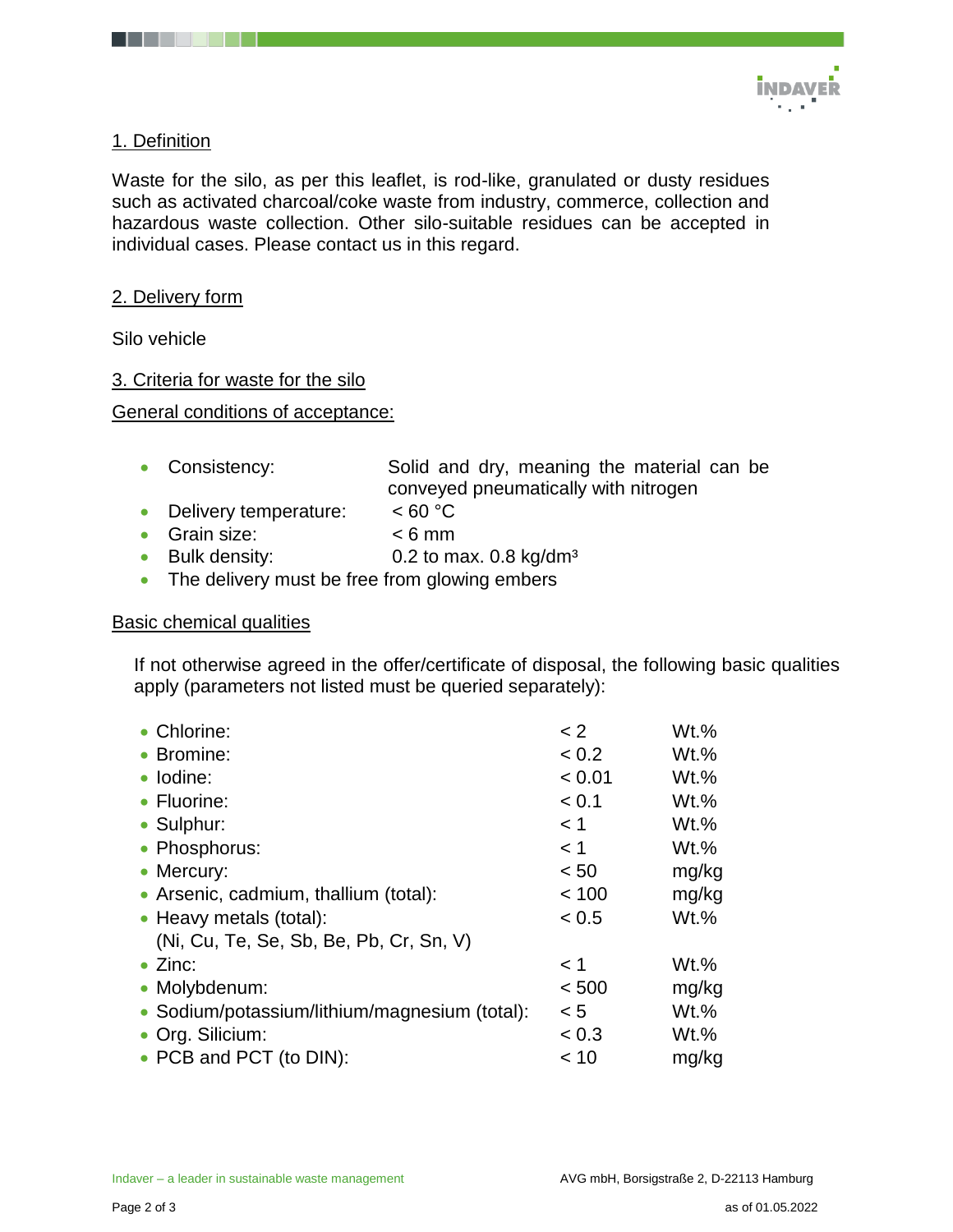

## 1. Definition

Waste for the silo, as per this leaflet, is rod-like, granulated or dusty residues such as activated charcoal/coke waste from industry, commerce, collection and hazardous waste collection. Other silo-suitable residues can be accepted in individual cases. Please contact us in this regard.

### 2. Delivery form

Silo vehicle

### 3. Criteria for waste for the silo

#### General conditions of acceptance:

- Consistency: Solid and dry, meaning the material can be conveyed pneumatically with nitrogen
- Delivery temperature: <60 °C
- Grain size: < 6 mm
- Bulk density:  $0.2$  to max.  $0.8$  kg/dm<sup>3</sup>
- The delivery must be free from glowing embers

#### Basic chemical qualities

If not otherwise agreed in the offer/certificate of disposal, the following basic qualities apply (parameters not listed must be queried separately):

| • Chlorine:                                   | < 2    | Wt.%    |
|-----------------------------------------------|--------|---------|
| • Bromine:                                    | < 0.2  | $Wt.$ % |
| · Iodine:                                     | < 0.01 | $Wt.$ % |
| • Fluorine:                                   | < 0.1  | $Wt.\%$ |
| • Sulphur:                                    | < 1    | $Wt.$ % |
| • Phosphorus:                                 | < 1    | $Wt.$ % |
| • Mercury:                                    | < 50   | mg/kg   |
| • Arsenic, cadmium, thallium (total):         | < 100  | mg/kg   |
| • Heavy metals (total):                       | < 0.5  | Wt.%    |
| (Ni, Cu, Te, Se, Sb, Be, Pb, Cr, Sn, V)       |        |         |
| $\bullet$ Zinc:                               | < 1    | $Wt.\%$ |
| • Molybdenum:                                 | < 500  | mg/kg   |
| • Sodium/potassium/lithium/magnesium (total): | < 5    | $Wt.$ % |
| • Org. Silicium:                              | < 0.3  | Wt.%    |
| • PCB and PCT (to DIN):                       | < 10   | mg/kg   |